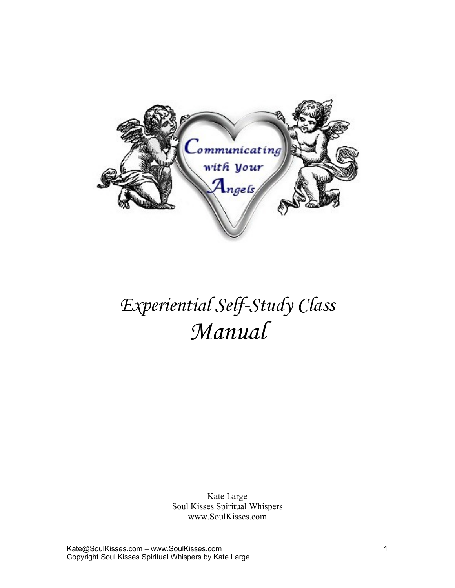

# *Experiential Self-Study Class Manual*

Kate Large Soul Kisses Spiritual Whispers www.SoulKisses.com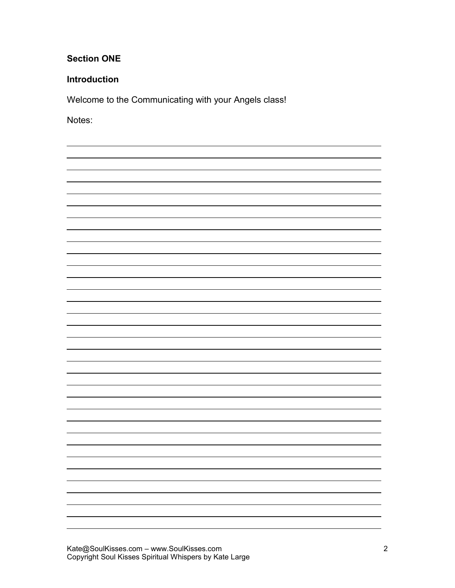## **Section ONE**

## **Introduction**

Welcome to the Communicating with your Angels class!

Notes:

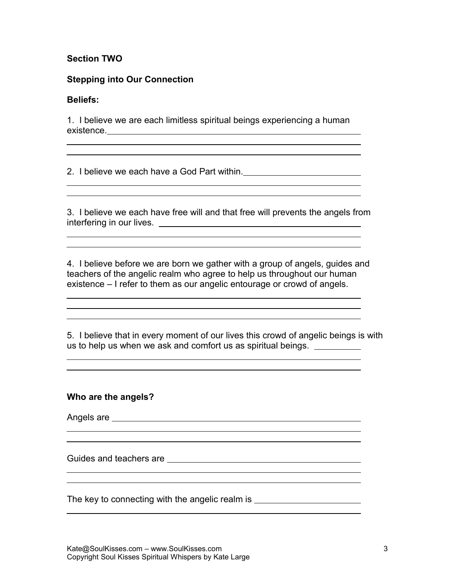## **Section TWO**

#### **Stepping into Our Connection**

#### **Beliefs:**

 $\overline{a}$  $\overline{a}$ 

 $\overline{a}$  $\overline{a}$ 

 $\overline{a}$  $\overline{a}$ 

 $\overline{a}$  $\overline{a}$  $\overline{a}$ 

 $\overline{a}$  $\overline{a}$ 

 $\overline{a}$  $\overline{a}$ 

 $\overline{a}$  $\overline{a}$ 

 $\overline{a}$ 

1. I believe we are each limitless spiritual beings experiencing a human existence.

<u> 1989 - Johann Barn, fransk politik (f. 1989)</u>

2. I believe we each have a God Part within.

3. I believe we each have free will and that free will prevents the angels from interfering in our lives.

4. I believe before we are born we gather with a group of angels, guides and teachers of the angelic realm who agree to help us throughout our human existence – I refer to them as our angelic entourage or crowd of angels.

5. I believe that in every moment of our lives this crowd of angelic beings is with us to help us when we ask and comfort us as spiritual beings.

<u> 1989 - Johann Stoff, Amerikaansk politiker († 1908)</u>

#### **Who are the angels?**

Angels are

Guides and teachers are

The key to connecting with the angelic realm is \_\_\_\_\_\_\_\_\_\_\_\_\_\_\_\_\_\_\_\_\_\_\_\_\_\_\_\_\_\_\_\_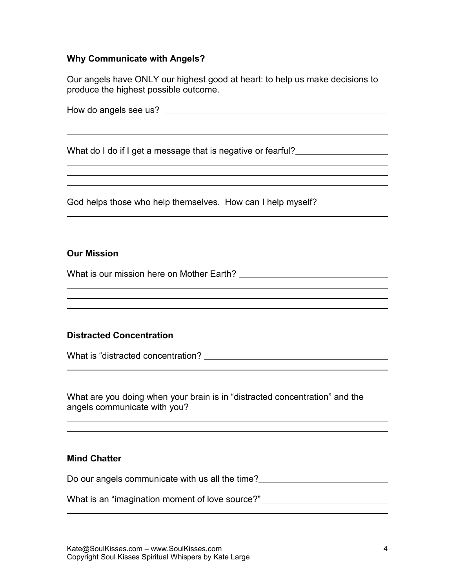#### **Why Communicate with Angels?**

Our angels have ONLY our highest good at heart: to help us make decisions to produce the highest possible outcome.

How do angels see us?

 $\overline{a}$  $\overline{a}$ 

 $\overline{a}$  $\overline{a}$  $\overline{a}$ 

 $\overline{a}$ 

 $\overline{a}$  $\overline{a}$  $\overline{a}$ 

 $\overline{a}$ 

 $\overline{a}$  $\overline{a}$ 

 $\overline{a}$ 

What do I do if I get a message that is negative or fearful?

God helps those who help themselves. How can I help myself? \_\_\_\_\_\_\_\_\_\_\_\_\_\_\_\_\_\_\_\_

#### **Our Mission**

What is our mission here on Mother Earth? Letture and the matter of the matter of the matter of the matter of the matter of the matter of the matter of the matter of the matter of the matter of the matter of the matter of

#### **Distracted Concentration**

What is "distracted concentration?

What are you doing when your brain is in "distracted concentration" and the angels communicate with you?<br>
angels communicate with you?

#### **Mind Chatter**

Do our angels communicate with us all the time?<br><u>Do our angels communicate with us all the time?</u>

What is an "imagination moment of love source?" \_\_\_\_\_\_\_\_\_\_\_\_\_\_\_\_\_\_\_\_\_\_\_\_\_\_\_\_\_\_\_\_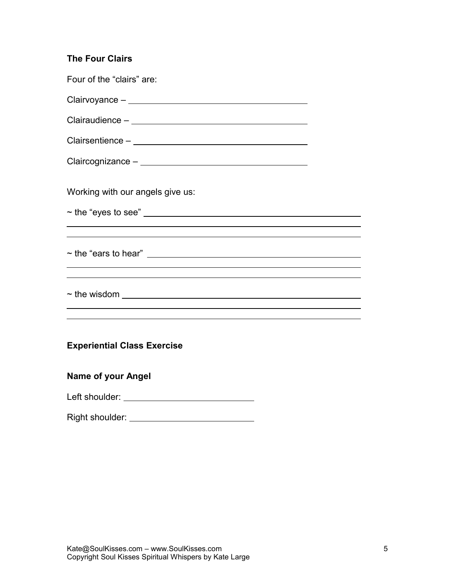| <b>The Four Clairs</b>                                                                                                                                                                                                                                                              |  |
|-------------------------------------------------------------------------------------------------------------------------------------------------------------------------------------------------------------------------------------------------------------------------------------|--|
| Four of the "clairs" are:                                                                                                                                                                                                                                                           |  |
|                                                                                                                                                                                                                                                                                     |  |
|                                                                                                                                                                                                                                                                                     |  |
|                                                                                                                                                                                                                                                                                     |  |
|                                                                                                                                                                                                                                                                                     |  |
| Working with our angels give us:                                                                                                                                                                                                                                                    |  |
|                                                                                                                                                                                                                                                                                     |  |
| ,我们也不能在这里的时候,我们也不能会在这里,我们也不能会在这里的时候,我们也不能会在这里的时候,我们也不能会在这里的时候,我们也不能会在这里的时候,我们也不能                                                                                                                                                                                                    |  |
| $\sim$ the "ears to hear" $\sqrt{2}$ and $\sqrt{2}$ and $\sqrt{2}$ and $\sqrt{2}$ and $\sqrt{2}$ and $\sqrt{2}$ and $\sqrt{2}$ and $\sqrt{2}$ and $\sqrt{2}$ and $\sqrt{2}$ and $\sqrt{2}$ and $\sqrt{2}$ and $\sqrt{2}$ and $\sqrt{2}$ and $\sqrt{2}$ and $\sqrt{2}$ and $\sqrt{2$ |  |
|                                                                                                                                                                                                                                                                                     |  |
|                                                                                                                                                                                                                                                                                     |  |
|                                                                                                                                                                                                                                                                                     |  |
| <b>Experiential Class Exercise</b>                                                                                                                                                                                                                                                  |  |
| <b>Name of your Angel</b>                                                                                                                                                                                                                                                           |  |
| Left shoulder: ___________________________________                                                                                                                                                                                                                                  |  |

Right shoulder: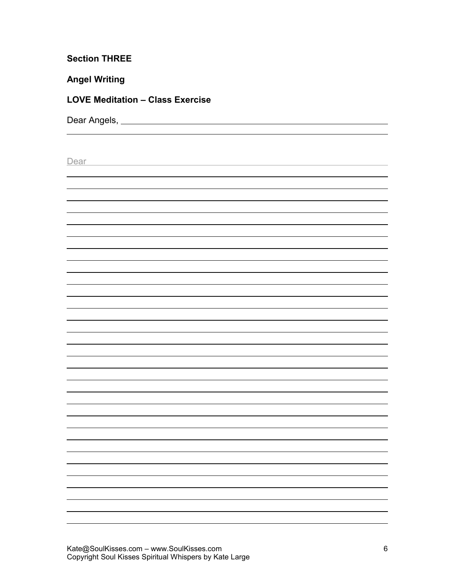## **Section THREE**

## **Angel Writing**

 $\overline{a}$ 

## **LOVE Meditation – Class Exercise**

Dear Angels, Land and Contract and Contract and Contract and Contract and Contract and Contract and Contract and Contract and Contract and Contract and Contract and Contract and Contract and Contract and Contract and Contr

| Dear |  |
|------|--|
|      |  |
|      |  |
|      |  |
|      |  |
|      |  |
|      |  |
|      |  |
|      |  |
|      |  |
|      |  |
|      |  |
|      |  |
|      |  |
|      |  |
|      |  |
|      |  |
|      |  |
|      |  |
|      |  |
|      |  |
|      |  |
|      |  |
|      |  |
|      |  |
|      |  |
|      |  |
|      |  |
|      |  |
|      |  |
|      |  |
|      |  |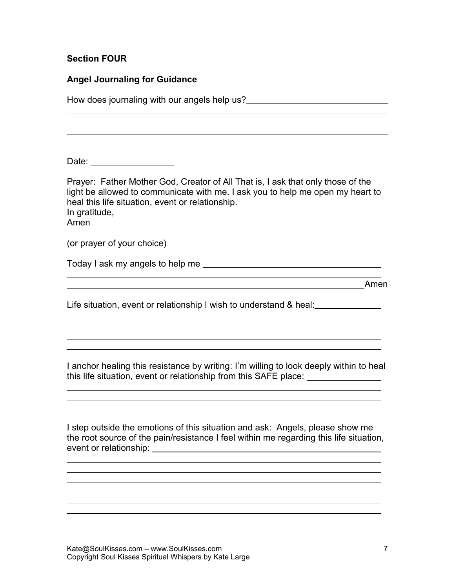## **Section FOUR**

| <b>Angel Journaling for Guidance</b>                                                                                                                                                                                                           |
|------------------------------------------------------------------------------------------------------------------------------------------------------------------------------------------------------------------------------------------------|
|                                                                                                                                                                                                                                                |
|                                                                                                                                                                                                                                                |
|                                                                                                                                                                                                                                                |
| Date: _____________________                                                                                                                                                                                                                    |
| Prayer: Father Mother God, Creator of All That is, I ask that only those of the<br>light be allowed to communicate with me. I ask you to help me open my heart to<br>heal this life situation, event or relationship.<br>In gratitude,<br>Amen |
| (or prayer of your choice)                                                                                                                                                                                                                     |
|                                                                                                                                                                                                                                                |
| <u> 1989 - Johann Stoff, amerikansk politiker (* 1908)</u><br><b>Amen</b>                                                                                                                                                                      |
| Life situation, event or relationship I wish to understand & heal:                                                                                                                                                                             |
|                                                                                                                                                                                                                                                |
|                                                                                                                                                                                                                                                |
| I anchor healing this resistance by writing: I'm willing to look deeply within to heal<br>this life situation, event or relationship from this SAFE place: _______________                                                                     |
|                                                                                                                                                                                                                                                |
| I step outside the emotions of this situation and ask: Angels, please show me<br>the root source of the pain/resistance I feel within me regarding this life situation,<br>event or relationship: _                                            |
|                                                                                                                                                                                                                                                |
|                                                                                                                                                                                                                                                |
|                                                                                                                                                                                                                                                |
|                                                                                                                                                                                                                                                |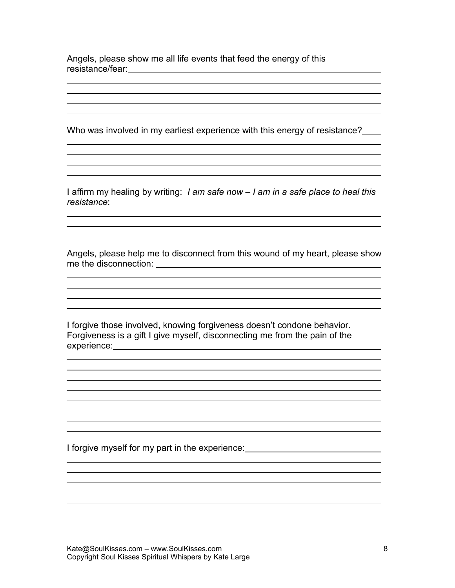Angels, please show me all life events that feed the energy of this resistance/fear:

 $\overline{a}$ 

 $\overline{a}$ 

 $\overline{a}$ 

 $\overline{a}$ 

Who was involved in my earliest experience with this energy of resistance?

I affirm my healing by writing: *I am safe now – I am in a safe place to heal this resistance*:

<u> 1989 - Johann Stein, marwolaethau a bhann an t-Amhain ann an t-Amhain an t-Amhain an t-Amhain an t-Amhain an </u>

<u> 1989 - Johann Barn, fransk politik (f. 1989)</u>

<u> 1989 - Johann Stoff, amerikansk politiker (d. 1989)</u>

<u> 1989 - Johann Stein, marwolaethau (b. 1989)</u>

Angels, please help me to disconnect from this wound of my heart, please show me the disconnection:

I forgive those involved, knowing forgiveness doesn't condone behavior. Forgiveness is a gift I give myself, disconnecting me from the pain of the experience: which is a set of the set of the set of the set of the set of the set of the set of the set of the set of the set of the set of the set of the set of the set of the set of the set of the set of the set of the s

I forgive myself for my part in the experience: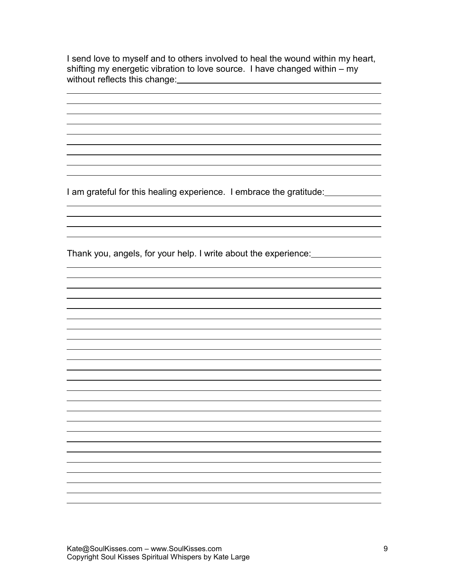I send love to myself and to others involved to heal the wound within my heart, shifting my energetic vibration to love source. I have changed within – my without reflects this change:

I am grateful for this healing experience. I embrace the gratitude:

 $\overline{a}$ 

Thank you, angels, for your help. I write about the experience: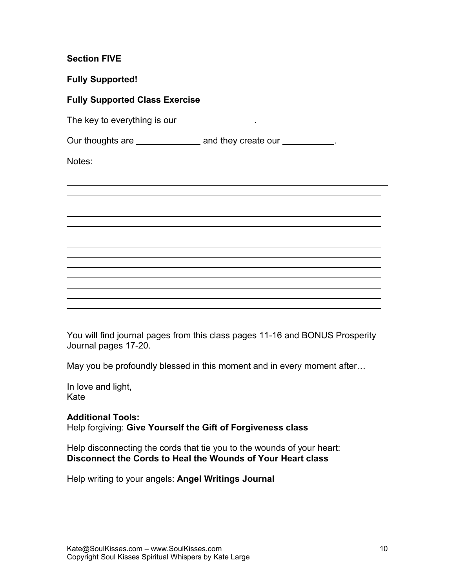## **Section FIVE**

**Fully Supported!**

## **Fully Supported Class Exercise**

The key to everything is our <u>second that the set of the set of the set of the set of the set of the set of the set of the set of the set of the set of the set of the set of the set of the set of the set of the set of the </u>

Our thoughts are \_\_\_\_\_\_\_\_\_\_\_\_\_\_\_ and they create our \_\_\_\_\_\_\_\_\_\_.

Notes:



You will find journal pages from this class pages 11-16 and BONUS Prosperity Journal pages 17-20.

May you be profoundly blessed in this moment and in every moment after…

In love and light, Kate

**Additional Tools:** Help forgiving: **Give Yourself the Gift of Forgiveness class**

Help disconnecting the cords that tie you to the wounds of your heart: **Disconnect the Cords to Heal the Wounds of Your Heart class**

Help writing to your angels: **Angel Writings Journal**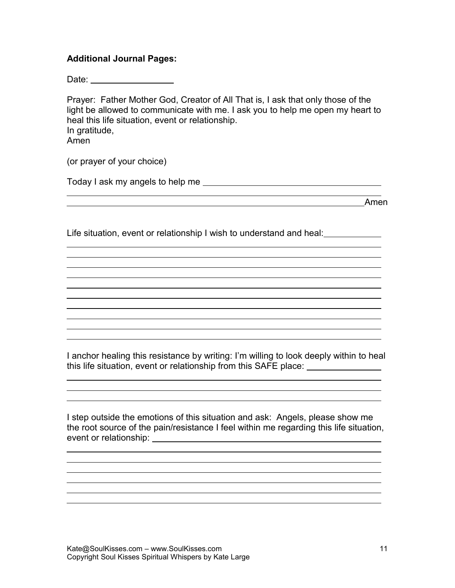## **Additional Journal Pages:**

Date: New York Planning

Prayer: Father Mother God, Creator of All That is, I ask that only those of the light be allowed to communicate with me. I ask you to help me open my heart to heal this life situation, event or relationship. In gratitude, Amen

(or prayer of your choice)

 $\overline{a}$ 

 $\overline{a}$ 

 $\overline{a}$ 

 $\overline{a}$ 

Today I ask my angels to help me

Amen

Life situation, event or relationship I wish to understand and heal:

I anchor healing this resistance by writing: I'm willing to look deeply within to heal this life situation, event or relationship from this SAFE place:

I step outside the emotions of this situation and ask: Angels, please show me the root source of the pain/resistance I feel within me regarding this life situation, event or relationship: event of relationship: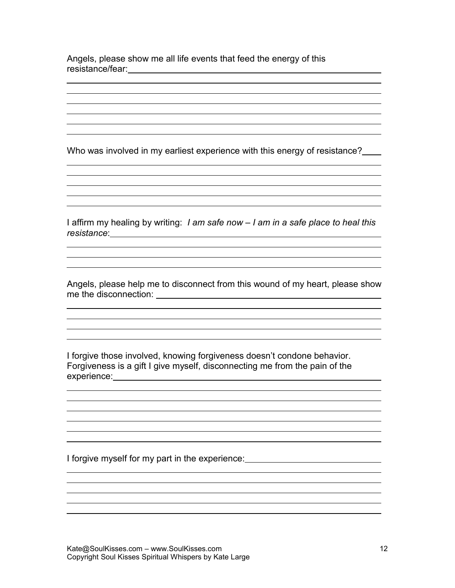Angels, please show me all life events that feed the energy of this resistance/fear:

 $\overline{a}$ 

 $\overline{a}$ 

 $\overline{a}$ 

 $\overline{a}$ 

Who was involved in my earliest experience with this energy of resistance?

<u> 1989 - Johann Barn, mars ann an t-Amhain Aonaichte ann an t-Aonaichte ann an t-Aonaichte ann an t-Aonaichte a</u>

I affirm my healing by writing: *I am safe now – I am in a safe place to heal this resistance*:

the control of the control of the control of the control of the control of the control of the control of the control of the control of the control of the control of the control of the control of the control of the control and the control of the control of the control of the control of the control of the control of the control of the

<u> 1989 - Johann Stoff, deutscher Stoff, der Stoff, der Stoff, der Stoff, der Stoff, der Stoff, der Stoff, der S</u>

<u> 1989 - Johann Barbara, martin amerikan basar dan berasal dalam basa dalam basar dalam basar dalam basar dala</u>

Angels, please help me to disconnect from this wound of my heart, please show me the disconnection:

I forgive those involved, knowing forgiveness doesn't condone behavior. Forgiveness is a gift I give myself, disconnecting me from the pain of the experience: experience:

I forgive myself for my part in the experience: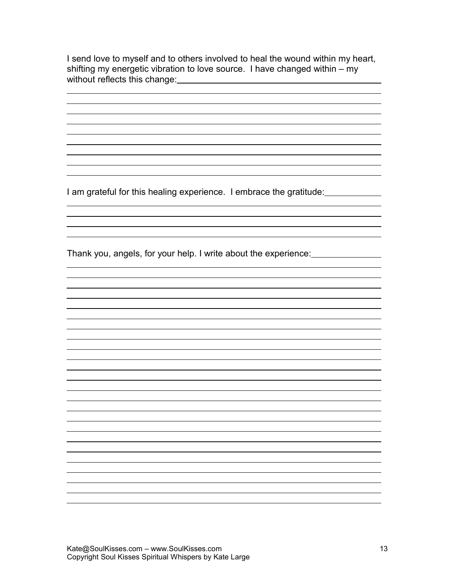I send love to myself and to others involved to heal the wound within my heart, shifting my energetic vibration to love source. I have changed within – my without reflects this change:

I am grateful for this healing experience. I embrace the gratitude:

 $\overline{a}$ 

Thank you, angels, for your help. I write about the experience: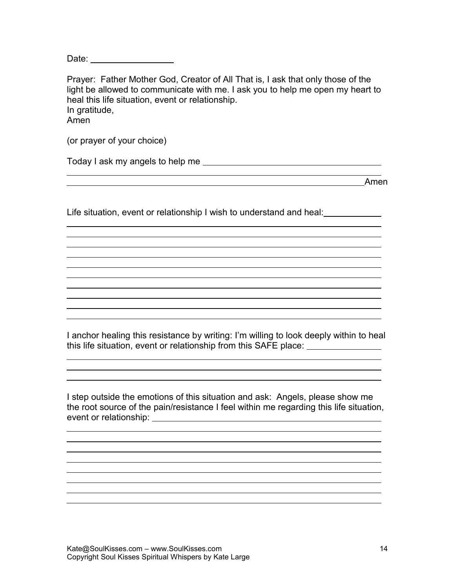Date: **Date: Date: Date: Date:** 

Prayer: Father Mother God, Creator of All That is, I ask that only those of the light be allowed to communicate with me. I ask you to help me open my heart to heal this life situation, event or relationship. In gratitude, Amen

(or prayer of your choice)

 $\overline{a}$ 

 $\overline{a}$ 

 $\overline{a}$ 

 $\overline{a}$ 

Today I ask my angels to help me

<u>Ament and the set of the set of the set of the set of the set of the set of the set of the set of the set of the set of the set of the set of the set of the set of the set of the set of the set of the set of the set of th</u>

Life situation, event or relationship I wish to understand and heal:

I anchor healing this resistance by writing: I'm willing to look deeply within to heal this life situation, event or relationship from this SAFE place:

<u> 1980 - Johann Barbara, martxa alemaniar a</u>

I step outside the emotions of this situation and ask: Angels, please show me the root source of the pain/resistance I feel within me regarding this life situation, event or relationship: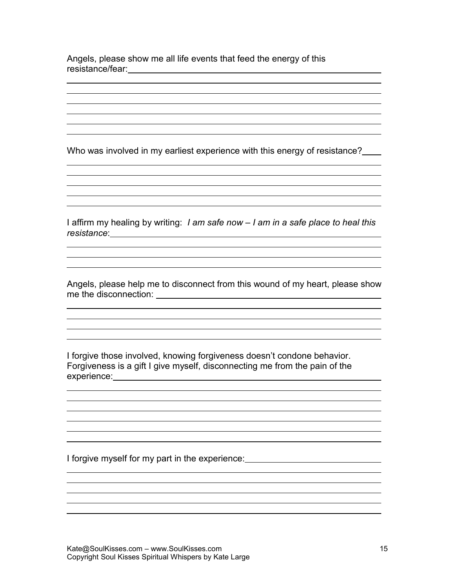Angels, please show me all life events that feed the energy of this resistance/fear:

 $\overline{a}$ 

 $\overline{a}$ 

 $\overline{a}$ 

 $\overline{a}$ 

Who was involved in my earliest experience with this energy of resistance?

<u> 1989 - Johann Barn, mars ann an t-Amhain Aonaichte ann an t-Aonaichte ann an t-Aonaichte ann an t-Aonaichte a</u>

I affirm my healing by writing: *I am safe now – I am in a safe place to heal this resistance*:

the control of the control of the control of the control of the control of the control of the control of the control of the control of the control of the control of the control of the control of the control of the control and the control of the control of the control of the control of the control of the control of the control of the

<u> 1989 - Johann Stoff, deutscher Stoff, der Stoff, der Stoff, der Stoff, der Stoff, der Stoff, der Stoff, der S</u>

Angels, please help me to disconnect from this wound of my heart, please show me the disconnection:

I forgive those involved, knowing forgiveness doesn't condone behavior. Forgiveness is a gift I give myself, disconnecting me from the pain of the experience: experience:

I forgive myself for my part in the experience: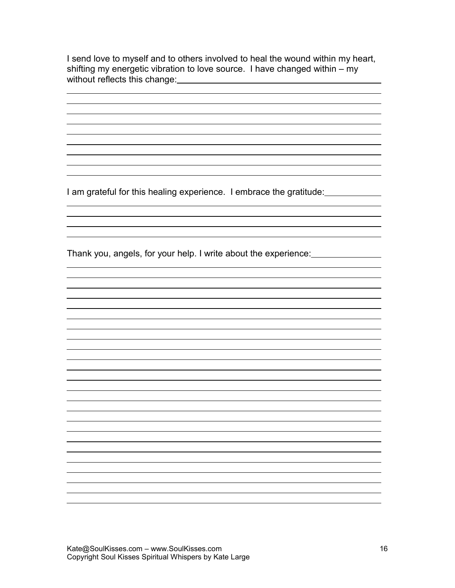I send love to myself and to others involved to heal the wound within my heart, shifting my energetic vibration to love source. I have changed within – my without reflects this change:

I am grateful for this healing experience. I embrace the gratitude:

 $\overline{a}$ 

Thank you, angels, for your help. I write about the experience: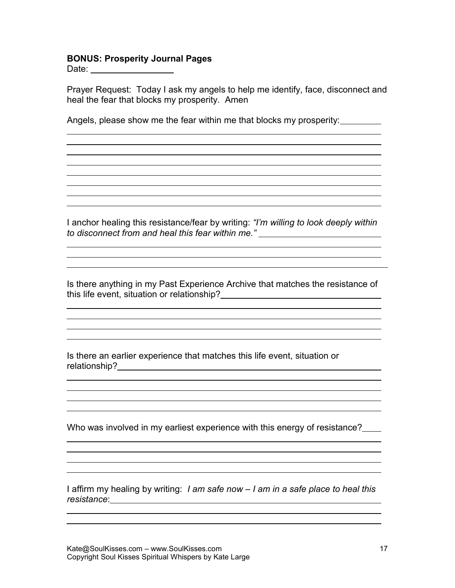## **BONUS: Prosperity Journal Pages**

Date:

 $\overline{a}$ 

 $\overline{a}$ 

 $\overline{a}$ 

 $\overline{a}$ 

 $\overline{a}$ 

 $\overline{a}$ 

Prayer Request: Today I ask my angels to help me identify, face, disconnect and heal the fear that blocks my prosperity. Amen

Angels, please show me the fear within me that blocks my prosperity:

I anchor healing this resistance/fear by writing: *"I'm willing to look deeply within to disconnect from and heal this fear within me."*

<u> 1989 - Andrea Station Barbara, amerikan bahasa perang perang perang perang perang perang perang perang perang</u> and the control of the control of the control of the control of the control of the control of the control of the

Is there anything in my Past Experience Archive that matches the resistance of this life event, situation or relationship?

Is there an earlier experience that matches this life event, situation or relationship?

Who was involved in my earliest experience with this energy of resistance?

<u> 1989 - Johann Stoff, deutscher Stoffen und der Stoffen und der Stoffen und der Stoffen und der Stoffen und der</u>

I affirm my healing by writing: *I am safe now – I am in a safe place to heal this resistance*: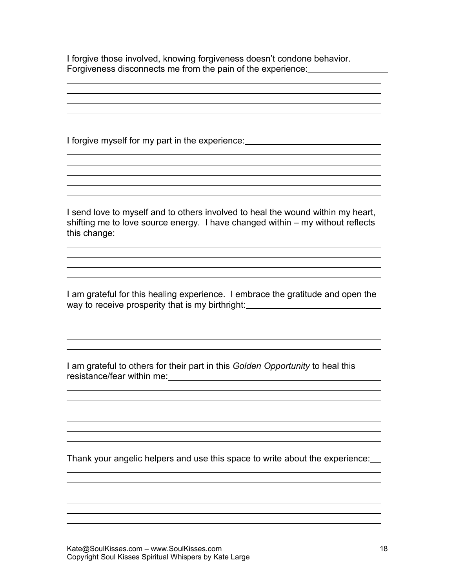I forgive those involved, knowing forgiveness doesn't condone behavior. Forgiveness disconnects me from the pain of the experience:

<u> 1989 - Johann Barn, amerikansk politiker (d. 1989)</u>

I forgive myself for my part in the experience:

 $\overline{a}$ 

 $\overline{a}$ 

 $\overline{a}$ 

 $\overline{a}$ 

I send love to myself and to others involved to heal the wound within my heart, shifting me to love source energy. I have changed within – my without reflects this change: <u>example and contract and contract and contract and contract and contract and contract and contract and contract and contract and contract and contract and contract and contract and contract and contract and c</u>

the control of the control of the control of the control of the control of the control of the control of the control of the control of the control of the control of the control of the control of the control of the control

<u> 1980 - Johann Barn, fransk politik (d. 1980)</u> 

<u> 1989 - Johann Stoff, deutscher Stoff, der Stoff, der Stoff, der Stoff, der Stoff, der Stoff, der Stoff, der S</u>

<u> 1989 - Johann Stoff, amerikansk politiker (\* 1908)</u>

I am grateful for this healing experience. I embrace the gratitude and open the way to receive prosperity that is my birthright:<br>

I am grateful to others for their part in this *Golden Opportunity* to heal this resistance/fear within me:

Thank your angelic helpers and use this space to write about the experience: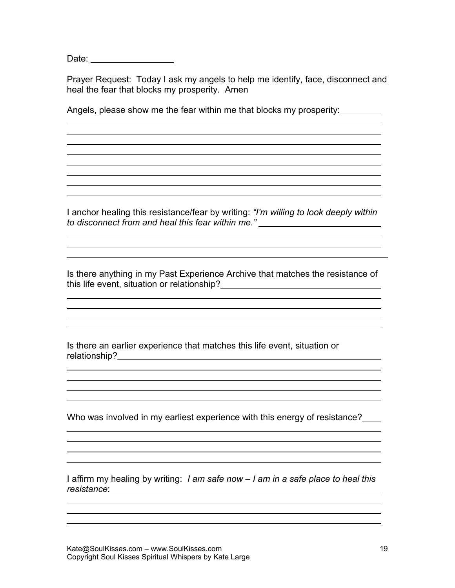Date:

 $\overline{a}$ 

 $\overline{a}$ 

 $\overline{a}$ 

 $\overline{a}$ 

 $\overline{a}$ 

 $\overline{a}$ 

Prayer Request: Today I ask my angels to help me identify, face, disconnect and heal the fear that blocks my prosperity. Amen

Angels, please show me the fear within me that blocks my prosperity:

I anchor healing this resistance/fear by writing: *"I'm willing to look deeply within to disconnect from and heal this fear within me."*

and the control of the control of the control of the control of the control of the control of the control of the

Is there anything in my Past Experience Archive that matches the resistance of this life event, situation or relationship?

Is there an earlier experience that matches this life event, situation or relationship?

Who was involved in my earliest experience with this energy of resistance?

I affirm my healing by writing: *I am safe now – I am in a safe place to heal this resistance*: